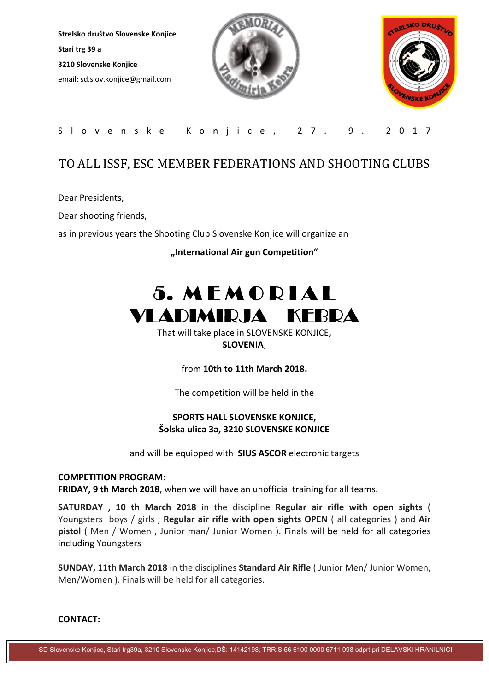Strelsko društvo Slovenske Konjice Stari trg 39 a 3210 Slovenske Konjice email: sd.slov.konjice@gmail.com





### S l o v e n s k e K o n j i c e , 2 7 . 9 . 2 0 1 7

## TO ALL ISSF, ESC MEMBER FEDERATIONS AND SHOOTING CLUBS

Dear Presidents,

Dear shooting friends,

as in previous years the Shooting Club Slovenske Konjice will organize an

"International Air gun Competition"

# 5. M E M O R I A L VLADIMIRJA KEBRA

That will take place in SLOVENSKE KONJICE, SLOVENIA,

from 10th to 11th March 2018.

The competition will be held in the

#### SPORTS HALL SLOVENSKE KONJICE, Šolska ulica 3a, 3210 SLOVENSKE KONJICE

and will be equipped with SIUS ASCOR electronic targets

#### COMPETITION PROGRAM:

FRIDAY, 9 th March 2018, when we will have an unofficial training for all teams.

SATURDAY , 10 th March 2018 in the discipline Regular air rifle with open sights ( Youngsters boys / girls ; Regular air rifle with open sights OPEN ( all categories ) and Air pistol ( Men / Women , Junior man/ Junior Women ). Finals will be held for all categories including Youngsters

SUNDAY, 11th March 2018 in the disciplines Standard Air Rifle ( Junior Men/ Junior Women, Men/Women ). Finals will be held for all categories.

#### CONTACT:

SD Slovenske Konjice, Stari trg39a, 3210 Slovenske Konjice;DŠ: 14142198; TRR:SI56 6100 0000 6711 098 odprt pri DELAVSKI HRANILNICI